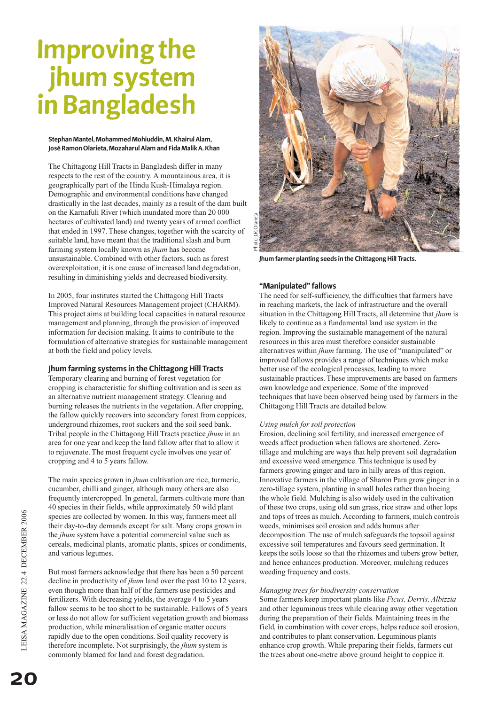# **Improving the jhum system in Bangladesh**

#### **Stephan Mantel, Mohammed Mohiuddin, M. Khairul Alam, José Ramon Olarieta, Mozaharul Alam and Fida Malik A. Khan**

The Chittagong Hill Tracts in Bangladesh differ in many respects to the rest of the country. A mountainous area, it is geographically part of the Hindu Kush-Himalaya region. Demographic and environmental conditions have changed drastically in the last decades, mainly as a result of the dam built on the Karnafuli River (which inundated more than 20 000 hectares of cultivated land) and twenty years of armed conflict that ended in 1997. These changes, together with the scarcity of suitable land, have meant that the traditional slash and burn farming system locally known as *jhum* has become unsustainable. Combined with other factors, such as forest overexploitation, it is one cause of increased land degradation, resulting in diminishing yields and decreased biodiversity.

In 2005, four institutes started the Chittagong Hill Tracts Improved Natural Resources Management project (CHARM). This project aims at building local capacities in natural resource management and planning, through the provision of improved information for decision making. It aims to contribute to the formulation of alternative strategies for sustainable management at both the field and policy levels.

# **Jhum farming systems in the Chittagong Hill Tracts**

Temporary clearing and burning of forest vegetation for cropping is characteristic for shifting cultivation and is seen as an alternative nutrient management strategy. Clearing and burning releases the nutrients in the vegetation. After cropping, the fallow quickly recovers into secondary forest from coppices, underground rhizomes, root suckers and the soil seed bank. Tribal people in the Chittagong Hill Tracts practice *jhum* in an area for one year and keep the land fallow after that to allow it to rejuvenate. The most frequent cycle involves one year of cropping and 4 to 5 years fallow.

The main species grown in *jhum* cultivation are rice, turmeric, cucumber, chilli and ginger, although many others are also frequently intercropped. In general, farmers cultivate more than 40 species in their fields, while approximately 50 wild plant species are collected by women. In this way, farmers meet all their day-to-day demands except for salt. Many crops grown in the *jhum* system have a potential commercial value such as cereals, medicinal plants, aromatic plants, spices or condiments, and various legumes.

But most farmers acknowledge that there has been a 50 percent decline in productivity of *jhum* land over the past 10 to 12 years, even though more than half of the farmers use pesticides and fertilizers. With decreasing yields, the average 4 to 5 years fallow seems to be too short to be sustainable. Fallows of 5 years or less do not allow for sufficient vegetation growth and biomass production, while mineralisation of organic matter occurs rapidly due to the open conditions. Soil quality recovery is therefore incomplete. Not surprisingly, the *jhum* system is commonly blamed for land and forest degradation.



**Jhum farmer planting seeds in the Chittagong Hill Tracts.**

# **"Manipulated" fallows**

The need for self-sufficiency, the difficulties that farmers have in reaching markets, the lack of infrastructure and the overall situation in the Chittagong Hill Tracts, all determine that *jhum* is likely to continue as a fundamental land use system in the region. Improving the sustainable management of the natural resources in this area must therefore consider sustainable alternatives within *jhum* farming. The use of "manipulated" or improved fallows provides a range of techniques which make better use of the ecological processes, leading to more sustainable practices. These improvements are based on farmers own knowledge and experience. Some of the improved techniques that have been observed being used by farmers in the Chittagong Hill Tracts are detailed below.

# *Using mulch for soil protection*

Erosion, declining soil fertility, and increased emergence of weeds affect production when fallows are shortened. Zerotillage and mulching are ways that help prevent soil degradation and excessive weed emergence. This technique is used by farmers growing ginger and taro in hilly areas of this region. Innovative farmers in the village of Sharon Para grow ginger in a zero-tillage system, planting in small holes rather than hoeing the whole field. Mulching is also widely used in the cultivation of these two crops, using old sun grass, rice straw and other lops and tops of trees as mulch. According to farmers, mulch controls weeds, minimises soil erosion and adds humus after decomposition. The use of mulch safeguards the topsoil against excessive soil temperatures and favours seed germination. It keeps the soils loose so that the rhizomes and tubers grow better, and hence enhances production. Moreover, mulching reduces weeding frequency and costs.

# *Managing trees for biodiversity conservation*

Some farmers keep important plants like *Ficus, Derris, Albizzia* and other leguminous trees while clearing away other vegetation during the preparation of their fields. Maintaining trees in the field, in combination with cover crops, helps reduce soil erosion, and contributes to plant conservation. Leguminous plants enhance crop growth. While preparing their fields, farmers cut the trees about one-metre above ground height to coppice it.